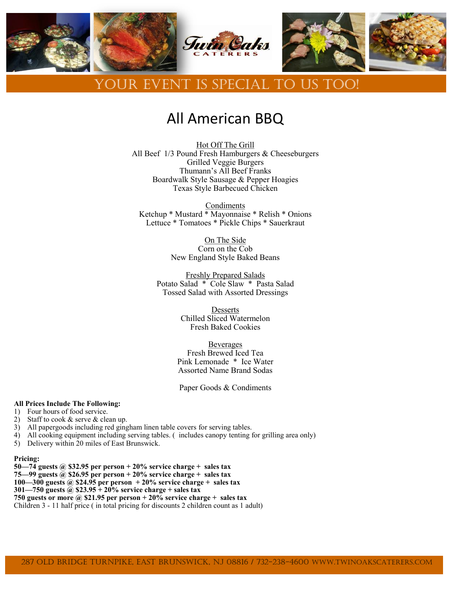

# All American BBQ

Hot Off The Grill All Beef 1/3 Pound Fresh Hamburgers & Cheeseburgers Grilled Veggie Burgers Thumann's All Beef Franks Boardwalk Style Sausage & Pepper Hoagies Texas Style Barbecued Chicken

Condiments Ketchup \* Mustard \* Mayonnaise \* Relish \* Onions Lettuce \* Tomatoes \* Pickle Chips \* Sauerkraut

> On The Side Corn on the Cob New England Style Baked Beans

Freshly Prepared Salads Potato Salad \* Cole Slaw \* Pasta Salad Tossed Salad with Assorted Dressings

> Desserts Chilled Sliced Watermelon Fresh Baked Cookies

**Beverages** Fresh Brewed Iced Tea Pink Lemonade \* Ice Water Assorted Name Brand Sodas

Paper Goods & Condiments

#### **All Prices Include The Following:**

- 1) Four hours of food service.
- 2) Staff to cook & serve & clean up.
- 3) All papergoods including red gingham linen table covers for serving tables.
- 4) All cooking equipment including serving tables. ( includes canopy tenting for grilling area only)
- 5) Delivery within 20 miles of East Brunswick.

#### **Pricing:**

- **50—74 guests @ \$32.95 per person + 20% service charge + sales tax**
- **75—99 guests @ \$26.95 per person + 20% service charge + sales tax**
- **100—300 guests @ \$24.95 per person + 20% service charge + sales tax**

**301—750 guests @ \$23.95 + 20% service charge + sales tax**

**750 guests or more @ \$21.95 per person + 20% service charge + sales tax**

Children 3 - 11 half price ( in total pricing for discounts 2 children count as 1 adult)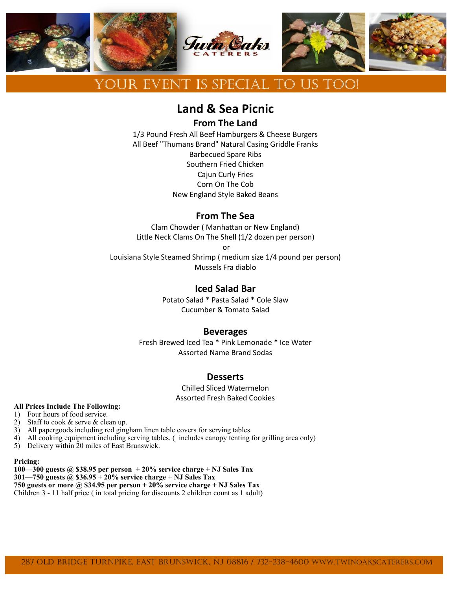

# **Land & Sea Picnic**

**From The Land**

1/3 Pound Fresh All Beef Hamburgers & Cheese Burgers All Beef "Thumans Brand" Natural Casing Griddle Franks Barbecued Spare Ribs Southern Fried Chicken Cajun Curly Fries Corn On The Cob New England Style Baked Beans

### **From The Sea**

Clam Chowder ( Manhattan or New England) Little Neck Clams On The Shell (1/2 dozen per person)

or

Louisiana Style Steamed Shrimp ( medium size 1/4 pound per person) Mussels Fra diablo

### **Iced Salad Bar**

Potato Salad \* Pasta Salad \* Cole Slaw Cucumber & Tomato Salad

### **Beverages**

Fresh Brewed Iced Tea \* Pink Lemonade \* Ice Water Assorted Name Brand Sodas

### **Desserts**

Chilled Sliced Watermelon Assorted Fresh Baked Cookies

#### **All Prices Include The Following:**

- 1) Four hours of food service.
- 2) Staff to cook & serve & clean up.
- 3) All papergoods including red gingham linen table covers for serving tables.
- 4) All cooking equipment including serving tables. ( includes canopy tenting for grilling area only)
- 5) Delivery within 20 miles of East Brunswick.

#### **Pricing:**

**100—300 guests @ \$38.95 per person + 20% service charge + NJ Sales Tax 301—750 guests @ \$36.95 + 20% service charge + NJ Sales Tax 750 guests or more @ \$34.95 per person + 20% service charge + NJ Sales Tax** Children 3 - 11 half price ( in total pricing for discounts 2 children count as 1 adult)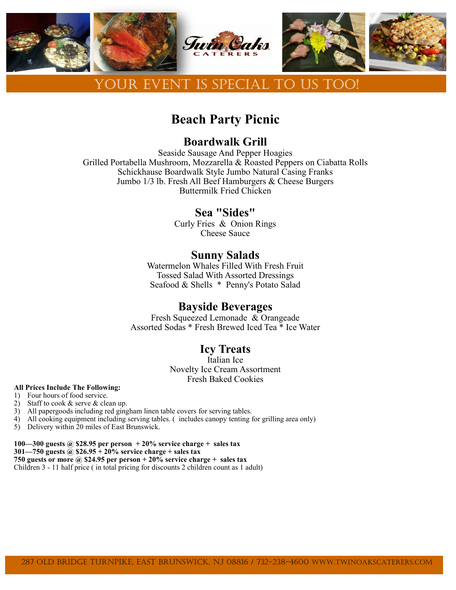

# **Beach Party Picnic**

## **Boardwalk Grill**

Seaside Sausage And Pepper Hoagies Grilled Portabella Mushroom, Mozzarella & Roasted Peppers on Ciabatta Rolls Schickhause Boardwalk Style Jumbo Natural Casing Franks Jumbo 1/3 lb. Fresh All Beef Hamburgers & Cheese Burgers Buttermilk Fried Chicken

## **Sea "Sides"**

Curly Fries & Onion Rings Cheese Sauce

## **Sunny Salads**

Watermelon Whales Filled With Fresh Fruit Tossed Salad With Assorted Dressings Seafood & Shells \* Penny's Potato Salad

### **Bayside Beverages**

Fresh Squeezed Lemonade & Orangeade Assorted Sodas \* Fresh Brewed Iced Tea \* Ice Water

## **Icy Treats**

Italian Ice Novelty Ice Cream Assortment Fresh Baked Cookies

#### **All Prices Include The Following:**

1) Four hours of food service.

- 2) Staff to cook & serve & clean up.
- 3) All papergoods including red gingham linen table covers for serving tables.
- 4) All cooking equipment including serving tables. ( includes canopy tenting for grilling area only)
- 5) Delivery within 20 miles of East Brunswick.
- **100—300 guests @ \$28.95 per person + 20% service charge + sales tax**

**301—750 guests @ \$26.95 + 20% service charge + sales tax**

**750 guests or more @ \$24.95 per person + 20% service charge + sales tax**

Children 3 - 11 half price ( in total pricing for discounts 2 children count as 1 adult)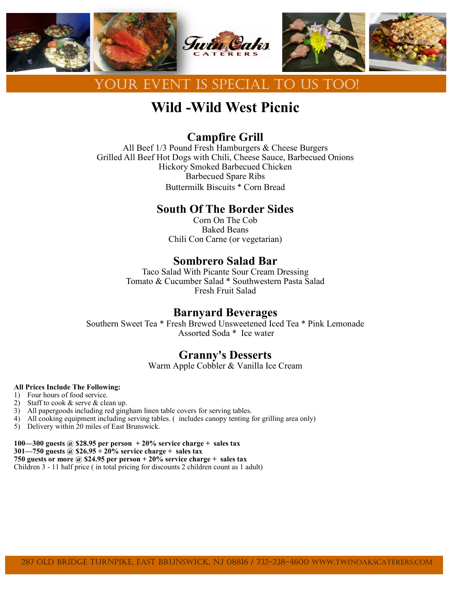

# **Wild -Wild West Picnic**

## **Campfire Grill**

All Beef 1/3 Pound Fresh Hamburgers & Cheese Burgers Grilled All Beef Hot Dogs with Chili, Cheese Sauce, Barbecued Onions Hickory Smoked Barbecued Chicken Barbecued Spare Ribs Buttermilk Biscuits \* Corn Bread

## **South Of The Border Sides**

Corn On The Cob Baked Beans Chili Con Carne (or vegetarian)

## **Sombrero Salad Bar**

Taco Salad With Picante Sour Cream Dressing Tomato & Cucumber Salad \* Southwestern Pasta Salad Fresh Fruit Salad

## **Barnyard Beverages**

Southern Sweet Tea \* Fresh Brewed Unsweetened Iced Tea \* Pink Lemonade Assorted Soda \* Ice water

## **Granny's Desserts**

Warm Apple Cobbler & Vanilla Ice Cream

#### **All Prices Include The Following:**

- 1) Four hours of food service.
- 2) Staff to cook & serve & clean up.
- 3) All papergoods including red gingham linen table covers for serving tables.
- 4) All cooking equipment including serving tables. ( includes canopy tenting for grilling area only)
- 5) Delivery within 20 miles of East Brunswick.
- **100—300 guests @ \$28.95 per person + 20% service charge + sales tax**
- **301—750 guests @ \$26.95 + 20% service charge + sales tax**

**750 guests or more @ \$24.95 per person + 20% service charge + sales tax**

Children 3 - 11 half price ( in total pricing for discounts 2 children count as 1 adult)